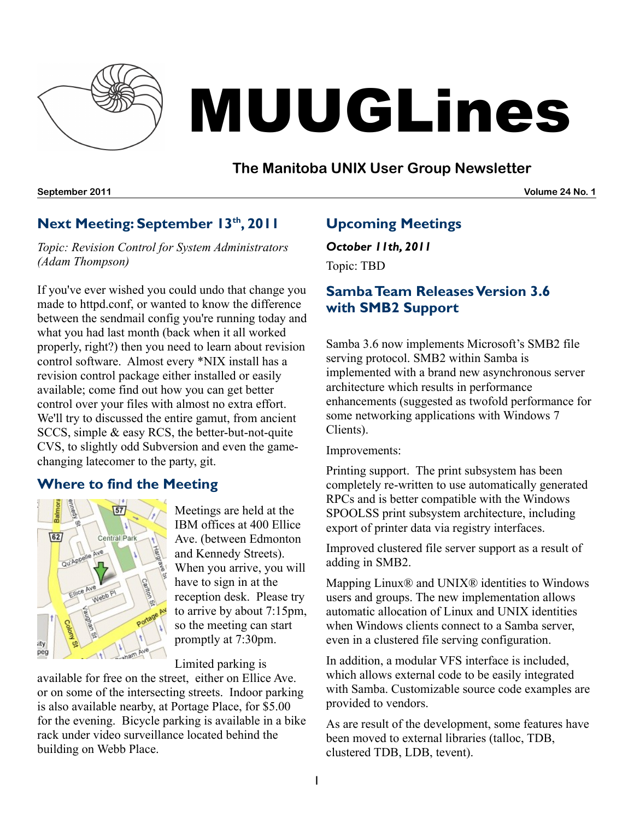

# MUUGLines

## **The Manitoba UNIX User Group Newsletter**

**September 2011 Volume 24 No. 1**

## **Next Meeting: September 13 th , 2011**

*Topic: Revision Control for System Administrators (Adam Thompson)*

If you've ever wished you could undo that change you made to httpd.conf, or wanted to know the difference between the sendmail config you're running today and what you had last month (back when it all worked properly, right?) then you need to learn about revision control software. Almost every \*NIX install has a revision control package either installed or easily available; come find out how you can get better control over your files with almost no extra effort. We'll try to discussed the entire gamut, from ancient SCCS, simple & easy RCS, the better-but-not-quite CVS, to slightly odd Subversion and even the gamechanging latecomer to the party, git.

## **Where to find the Meeting**



Meetings are held at the IBM offices at 400 Ellice Ave. (between Edmonton and Kennedy Streets). When you arrive, you will have to sign in at the reception desk. Please try to arrive by about 7:15pm, so the meeting can start promptly at 7:30pm.

Limited parking is

available for free on the street, either on Ellice Ave. or on some of the intersecting streets. Indoor parking is also available nearby, at Portage Place, for \$5.00 for the evening. Bicycle parking is available in a bike rack under video surveillance located behind the building on Webb Place.

## **Upcoming Meetings**

*October 11th, 2011* Topic: TBD

## **Samba Team Releases Version 3.6 with SMB2 Support**

Samba 3.6 now implements Microsoft's SMB2 file serving protocol. SMB2 within Samba is implemented with a brand new asynchronous server architecture which results in performance enhancements (suggested as twofold performance for some networking applications with Windows 7 Clients).

Improvements:

Printing support. The print subsystem has been completely re-written to use automatically generated RPCs and is better compatible with the Windows SPOOLSS print subsystem architecture, including export of printer data via registry interfaces.

Improved clustered file server support as a result of adding in SMB2.

Mapping Linux® and UNIX® identities to Windows users and groups. The new implementation allows automatic allocation of Linux and UNIX identities when Windows clients connect to a Samba server, even in a clustered file serving configuration.

In addition, a modular VFS interface is included, which allows external code to be easily integrated with Samba. Customizable source code examples are provided to vendors.

As are result of the development, some features have been moved to external libraries (talloc, TDB, clustered TDB, LDB, tevent).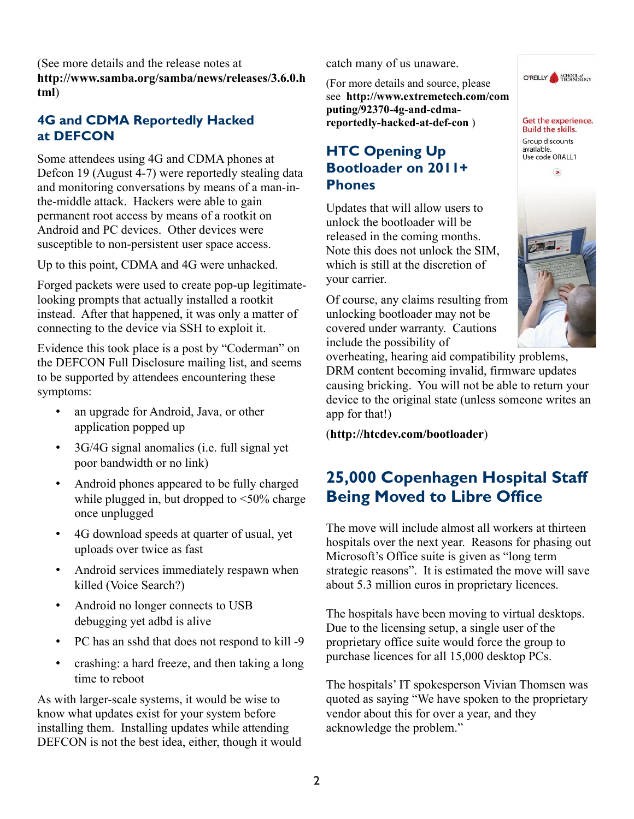(See more details and the release notes at **[http://www.samba.org/samba/news/releases/3.6.0.h](http://www.samba.org/samba/news/releases/3.6.0.html) [tml](http://www.samba.org/samba/news/releases/3.6.0.html)**)

#### **4G and CDMA Reportedly Hacked at DEFCON**

Some attendees using 4G and CDMA phones at Defcon 19 (August 4-7) were reportedly stealing data and monitoring conversations by means of a man-inthe-middle attack. Hackers were able to gain permanent root access by means of a rootkit on Android and PC devices. Other devices were susceptible to non-persistent user space access.

Up to this point, CDMA and 4G were unhacked.

Forged packets were used to create pop-up legitimatelooking prompts that actually installed a rootkit instead. After that happened, it was only a matter of connecting to the device via SSH to exploit it.

Evidence this took place is a post by "Coderman" on the DEFCON Full Disclosure mailing list, and seems to be supported by attendees encountering these symptoms:

- an upgrade for Android, Java, or other application popped up
- 3G/4G signal anomalies (i.e. full signal yet poor bandwidth or no link)
- Android phones appeared to be fully charged while plugged in, but dropped to  $\leq 50\%$  charge once unplugged
- 4G download speeds at quarter of usual, yet uploads over twice as fast
- Android services immediately respawn when killed (Voice Search?)
- Android no longer connects to USB debugging yet adbd is alive
- PC has an sshd that does not respond to kill -9
- crashing: a hard freeze, and then taking a long time to reboot

As with larger-scale systems, it would be wise to know what updates exist for your system before installing them. Installing updates while attending DEFCON is not the best idea, either, though it would catch many of us unaware.

(For more details and source, please see\_**[http://www.extremetech.com/com](http://www.extremetech.com/computing/92370-4g-and-cdma-reportedly-hacked-at-def-con) [puting/92370-4g-and-cdma](http://www.extremetech.com/computing/92370-4g-and-cdma-reportedly-hacked-at-def-con)[reportedly-hacked-at-def-con](http://www.extremetech.com/computing/92370-4g-and-cdma-reportedly-hacked-at-def-con)** )

## **HTC Opening Up Bootloader on 2011+ Phones**

Updates that will allow users to unlock the bootloader will be released in the coming months. Note this does not unlock the SIM, which is still at the discretion of your carrier.

Of course, any claims resulting from unlocking bootloader may not be covered under warranty. Cautions include the possibility of



O'REILLY SCHOOL of

overheating, hearing aid compatibility problems, DRM content becoming invalid, firmware updates causing bricking. You will not be able to return your device to the original state (unless someone writes an app for that!)

(**<http://htcdev.com/bootloader>**)

# **25,000 Copenhagen Hospital Staff Being Moved to Libre Office**

The move will include almost all workers at thirteen hospitals over the next year. Reasons for phasing out Microsoft's Office suite is given as "long term strategic reasons". It is estimated the move will save about 5.3 million euros in proprietary licences.

The hospitals have been moving to virtual desktops. Due to the licensing setup, a single user of the proprietary office suite would force the group to purchase licences for all 15,000 desktop PCs.

The hospitals' IT spokesperson Vivian Thomsen was quoted as saying "We have spoken to the proprietary vendor about this for over a year, and they acknowledge the problem."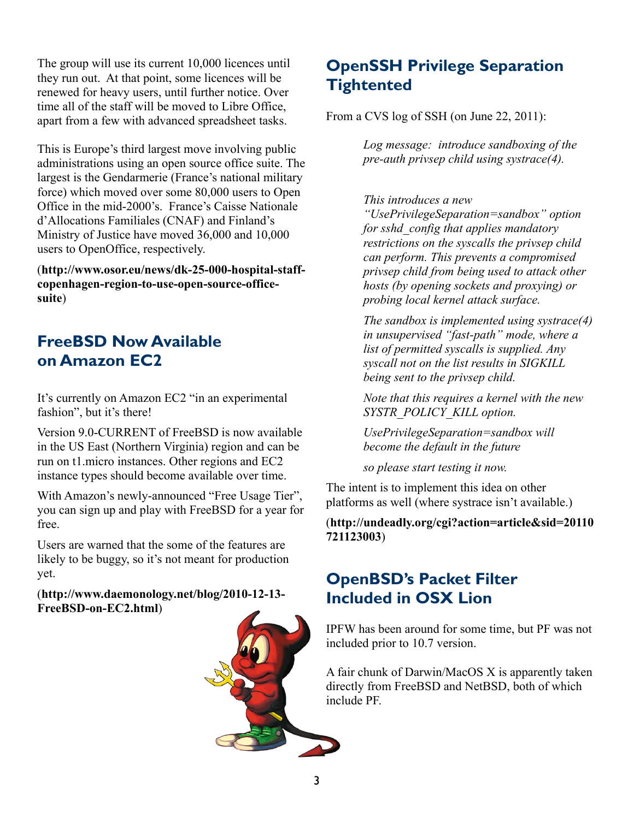The group will use its current 10,000 licences until they run out. At that point, some licences will be renewed for heavy users, until further notice. Over time all of the staff will be moved to Libre Office, apart from a few with advanced spreadsheet tasks.

This is Europe's third largest move involving public administrations using an open source office suite. The largest is the Gendarmerie (France's national military force) which moved over some 80,000 users to Open Office in the mid-2000's. France's Caisse Nationale d'Allocations Familiales (CNAF) and Finland's Ministry of Justice have moved 36,000 and 10,000 users to OpenOffice, respectively.

(**[http://www.osor.eu/news/dk-25-000-hospital-staff](http://www.osor.eu/news/dk-25-000-hospital-staff-copenhagen-region-to-use-open-source-office-suite)[copenhagen-region-to-use-open-source-office](http://www.osor.eu/news/dk-25-000-hospital-staff-copenhagen-region-to-use-open-source-office-suite)[suite](http://www.osor.eu/news/dk-25-000-hospital-staff-copenhagen-region-to-use-open-source-office-suite)**)

## **FreeBSD Now Available on Amazon EC2**

It's currently on Amazon EC2 "in an experimental fashion", but it's there!

Version 9.0-CURRENT of FreeBSD is now available in the US East (Northern Virginia) region and can be run on t1.micro instances. Other regions and EC2 instance types should become available over time.

With Amazon's newly-announced "Free Usage Tier", you can sign up and play with FreeBSD for a year for free.

Users are warned that the some of the features are likely to be buggy, so it's not meant for production yet.

#### (**[http://www.daemonology.net/blog/2010-12-13-](http://www.daemonology.net/blog/2010-12-13-FreeBSD-on-EC2.html) [FreeBSD-on-EC2.html](http://www.daemonology.net/blog/2010-12-13-FreeBSD-on-EC2.html)**)



# **OpenSSH Privilege Separation Tightented**

From a CVS log of SSH (on June 22, 2011):

*Log message: introduce sandboxing of the pre-auth privsep child using systrace(4).*

#### *This introduces a new*

*"UsePrivilegeSeparation=sandbox" option for sshd\_config that applies mandatory restrictions on the syscalls the privsep child can perform. This prevents a compromised privsep child from being used to attack other hosts (by opening sockets and proxying) or probing local kernel attack surface.*

*The sandbox is implemented using systrace(4) in unsupervised "fast-path" mode, where a list of permitted syscalls is supplied. Any syscall not on the list results in SIGKILL being sent to the privsep child.* 

*Note that this requires a kernel with the new SYSTR\_POLICY\_KILL option.*

*UsePrivilegeSeparation=sandbox will become the default in the future*

*so please start testing it now.*

The intent is to implement this idea on other platforms as well (where systrace isn't available.)

#### (**[http://undeadly.org/cgi?action=article&sid=20110](http://undeadly.org/cgi?action=article&sid=20110721123003) [721123003](http://undeadly.org/cgi?action=article&sid=20110721123003)**)

## **OpenBSD's Packet Filter Included in OSX Lion**

IPFW has been around for some time, but PF was not included prior to 10.7 version.

A fair chunk of Darwin/MacOS X is apparently taken directly from FreeBSD and NetBSD, both of which include PF.